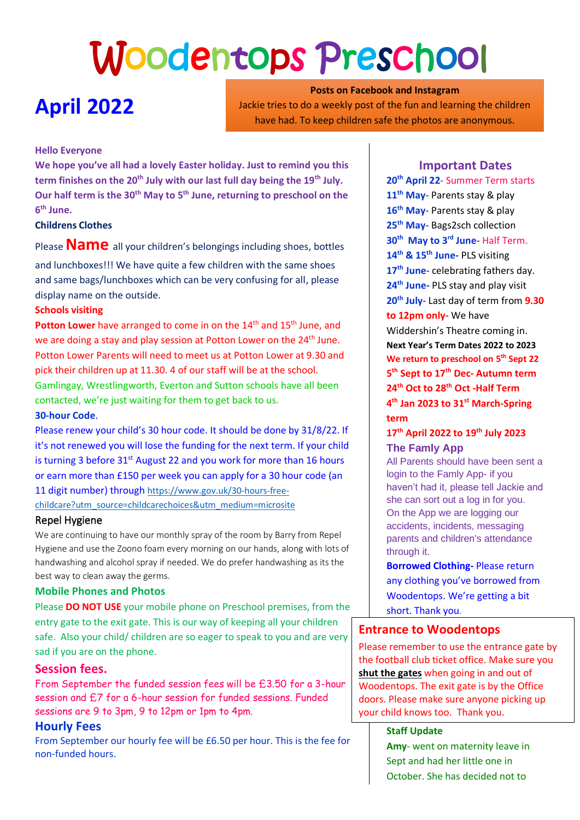# Woodentops Preschool

# **April 2022**

**Posts on Facebook and Instagram** Jackie tries to do a weekly post of the fun and learning the children have had. To keep children safe the photos are anonymous.

# **Hello Everyone**

**We hope you've all had a lovely Easter holiday. Just to remind you this term finishes on the 20th July with our last full day being the 19th July. Our half term is the 30th May to 5th June, returning to preschool on the 6 th June.**

# **Childrens Clothes**

Please **Name** all your children's belongings including shoes, bottles

and lunchboxes!!! We have quite a few children with the same shoes and same bags/lunchboxes which can be very confusing for all, please display name on the outside.

### **Schools visiting**

Potton Lower have arranged to come in on the 14<sup>th</sup> and 15<sup>th</sup> June, and we are doing a stay and play session at Potton Lower on the 24<sup>th</sup> June. Potton Lower Parents will need to meet us at Potton Lower at 9.30 and pick their children up at 11.30. 4 of our staff will be at the school. Gamlingay, Wrestlingworth, Everton and Sutton schools have all been contacted, we're just waiting for them to get back to us.

#### **30-hour Code**.

Please renew your child's 30 hour code. It should be done by 31/8/22. If it's not renewed you will lose the funding for the next term. If your child is turning 3 before 31<sup>st</sup> August 22 and you work for more than 16 hours or earn more than £150 per week you can apply for a 30 hour code (an 11 digit number) through [https://www.gov.uk/30-hours-free](https://www.gov.uk/30-hours-free-childcare?utm_source=childcarechoices&utm_medium=microsite)[childcare?utm\\_source=childcarechoices&utm\\_medium=microsite](https://www.gov.uk/30-hours-free-childcare?utm_source=childcarechoices&utm_medium=microsite)

### Repel Hygiene

We are continuing to have our monthly spray of the room by Barry from Repel Hygiene and use the Zoono foam every morning on our hands, along with lots of handwashing and alcohol spray if needed. We do prefer handwashing as its the best way to clean away the germs.

### **Mobile Phones and Photos**

Please **DO NOT USE** your mobile phone on Preschool premises, from the entry gate to the exit gate. This is our way of keeping all your children safe. Also your child/ children are so eager to speak to you and are very sad if you are on the phone.

### **Session fees.**

From September the funded session fees will be £3.50 for a 3-hour session and £7 for a 6-hour session for funded sessions. Funded sessions are 9 to 3pm, 9 to 12pm or 1pm to 4pm.

# **Hourly Fees**

From September our hourly fee will be £6.50 per hour. This is the fee for non-funded hours.

# **Important Dates**

**th April 22**- Summer Term starts **th May**- Parents stay & play **th May**- Parents stay & play **th May**- Bags2sch collection **th May to 3 rd June**- Half Term. **th & 15th June-** PLS visiting **th June**- celebrating fathers day. **th June-** PLS stay and play visit **th July**- Last day of term from **9.30 to 12pm only**- We have Widdershin's Theatre coming in. **Next Year's Term Dates 2022 to 2023 We return to preschool on 5 th Sept 22 th Sept to 17th Dec- Autumn term th Oct to 28 th Oct -Half Term th Jan 2023 to 31 st March-Spring term**

# **17th April 2022 to 19th July 2023 The Famly App**

All Parents should have been sent a login to the Famly App- if you haven't had it, please tell Jackie and she can sort out a log in for you. On the App we are logging our accidents, incidents, messaging parents and children's attendance through it.

**Borrowed Clothing-** Please return any clothing you've borrowed from Woodentops. We're getting a bit short. Thank you.

# **Entrance to Woodentops**

Please remember to use the entrance gate by the football club ticket office. Make sure you **shut the gates** when going in and out of Woodentops. The exit gate is by the Office doors. Please make sure anyone picking up your child knows too. Thank you.

### **Staff Update**

**Amy**- went on maternity leave in Sept and had her little one in October. She has decided not to